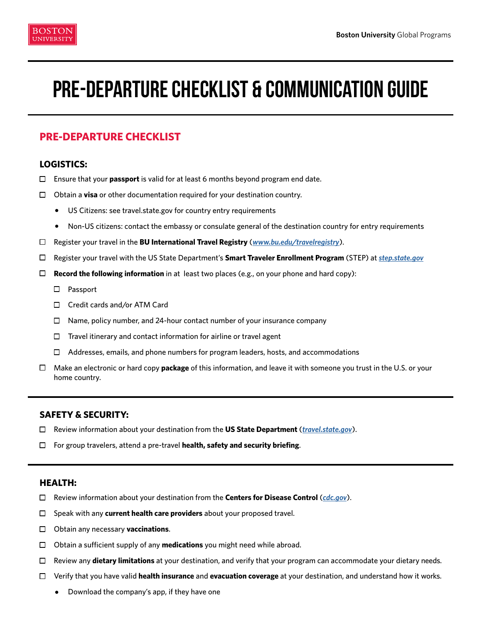# Pre-Departure Checklist & Communication Guide

# **PRE-DEPARTURE CHECKLIST**

# **LOGISTICS:**

- Ensure that your **passport** is valid for at least 6 months beyond program end date.
- Obtain a **visa** or other documentation required for your destination country.
	- $\bullet$ US Citizens: see travel.state.gov for country entry requirements
	- Non-US citizens: contact the embassy or consulate general of the destination country for entry requirements  $\bullet$
- $\Box$ Register your travel in the **BU International Travel Registry** (*www.bu.edu/travelregistry*).
- $\Box$ Register your travel with the US State Department's **Smart Traveler Enrollment Program** (STEP) at *step.state.gov*
- **Record the following information** in at least two places (e.g., on your phone and hard copy):
	- □ Passport
	- $\Box$ Credit cards and/or ATM Card
	- $\Box$ Name, policy number, and 24-hour contact number of your insurance company
	- □ Travel itinerary and contact information for airline or travel agent
	- $\Box$ Addresses, emails, and phone numbers for program leaders, hosts, and accommodations
- Make an electronic or hard copy **package** of this information, and leave it with someone you trust in the U.S. or your home country.

## **SAFETY & SECURITY:**

- Review information about your destination from the **US State Department** (*travel.state.gov*).  $\Box$
- For group travelers, attend a pre-travel **health, safety and security briefing**.  $\Box$

## **HEALTH:**

- $\Box$ Review information about your destination from the **Centers for Disease Control** (*cdc.gov*).
- $\Box$ Speak with any **current health care providers** about your proposed travel.
- Obtain any necessary **vaccinations**.  $\Box$
- $\Box$ Obtain a sufficient supply of any **medications** you might need while abroad.
- Review any **dietary limitations** at your destination, and verify that your program can accommodate your dietary needs. □
- Verify that you have valid **health insurance** and **evacuation coverage** at your destination, and understand how it works.  $\Box$ 
	- $\bullet$ Download the company's app, if they have one